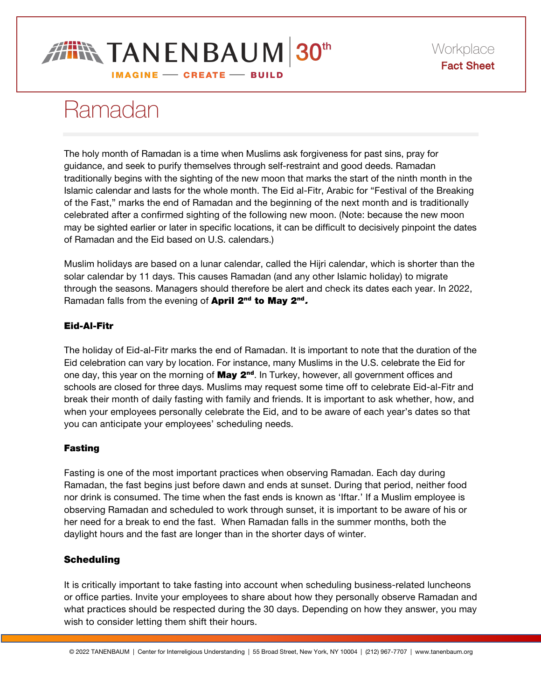

# Ramadan

The holy month of Ramadan is a time when Muslims ask forgiveness for past sins, pray for guidance, and seek to purify themselves through self-restraint and good deeds. Ramadan traditionally begins with the sighting of the new moon that marks the start of the ninth month in the Islamic calendar and lasts for the whole month. The Eid al-Fitr, Arabic for "Festival of the Breaking of the Fast," marks the end of Ramadan and the beginning of the next month and is traditionally celebrated after a confirmed sighting of the following new moon. (Note: because the new moon may be sighted earlier or later in specific locations, it can be difficult to decisively pinpoint the dates of Ramadan and the Eid based on U.S. calendars.)

Muslim holidays are based on a lunar calendar, called the Hijri calendar, which is shorter than the solar calendar by 11 days. This causes Ramadan (and any other Islamic holiday) to migrate through the seasons. Managers should therefore be alert and check its dates each year. In 2022, Ramadan falls from the evening of April 2<sup>nd</sup> to May 2<sup>nd</sup>.

## Eid-Al-Fitr

The holiday of Eid-al-Fitr marks the end of Ramadan. It is important to note that the duration of the Eid celebration can vary by location. For instance, many Muslims in the U.S. celebrate the Eid for one day, this year on the morning of May 2<sup>nd</sup>. In Turkey, however, all government offices and schools are closed for three days. Muslims may request some time off to celebrate Eid-al-Fitr and break their month of daily fasting with family and friends. It is important to ask whether, how, and when your employees personally celebrate the Eid, and to be aware of each year's dates so that you can anticipate your employees' scheduling needs.

## Fasting

Fasting is one of the most important practices when observing Ramadan. Each day during Ramadan, the fast begins just before dawn and ends at sunset. During that period, neither food nor drink is consumed. The time when the fast ends is known as 'Iftar.' If a Muslim employee is observing Ramadan and scheduled to work through sunset, it is important to be aware of his or her need for a break to end the fast. When Ramadan falls in the summer months, both the daylight hours and the fast are longer than in the shorter days of winter.

# **Scheduling**

It is critically important to take fasting into account when scheduling business-related luncheons or office parties. Invite your employees to share about how they personally observe Ramadan and what practices should be respected during the 30 days. Depending on how they answer, you may wish to consider letting them shift their hours.